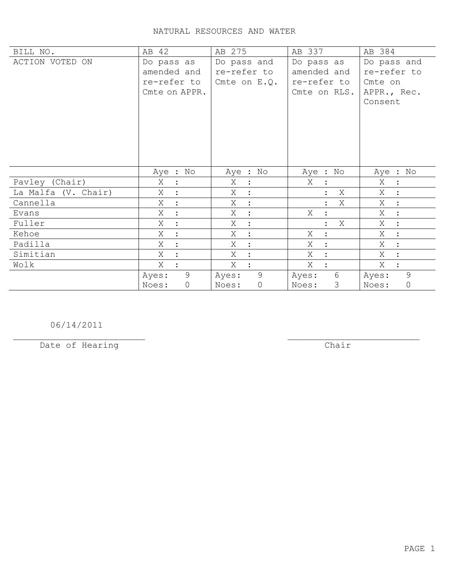## NATURAL RESOURCES AND WATER

| BILL NO.            | AB 42               | AB 275                   | AB 337              | AB 384                    |
|---------------------|---------------------|--------------------------|---------------------|---------------------------|
| ACTION VOTED ON     | Do pass as          | Do pass and              | Do pass as          | Do pass and               |
|                     | amended and         | re-refer to              | amended and         | re-refer to               |
|                     | re-refer to         | Cmte on $E.Q.$           | re-refer to         | Cmte on                   |
|                     | Cmte on APPR.       |                          | Cmte on RLS.        | APPR., Rec.               |
|                     |                     |                          |                     | Consent                   |
|                     |                     |                          |                     |                           |
|                     |                     |                          |                     |                           |
|                     |                     |                          |                     |                           |
|                     |                     |                          |                     |                           |
|                     |                     |                          |                     |                           |
|                     | Aye : No            | Aye : No                 | Aye : No            | Aye : No                  |
| Pavley (Chair)      | Χ<br>$\ddot{\cdot}$ | Χ<br>$\mathbf{L}$        | Χ                   | Χ<br>$\ddot{\phantom{1}}$ |
| La Malfa (V. Chair) | Χ                   | Χ<br>$\ddot{\cdot}$      | Χ                   | Χ<br>$\ddot{\phantom{1}}$ |
| Cannella            | Χ<br>$\ddot{ }$     | X<br>$\ddot{\cdot}$      | Χ                   | Χ<br>$\sim$ 1 $^{\circ}$  |
| Evans               | X                   | X<br>$\sim$ 1 $^{\circ}$ | X                   | $X_{-}$<br>$\mathbb{R}^2$ |
| Fuller              | Χ                   | Χ<br>$\ddot{\cdot}$      | X<br>$\ddot{\cdot}$ | Χ<br>$\ddot{\cdot}$       |
| Kehoe               | Χ                   | Χ<br>$\mathbf{r}$        | Χ                   | X<br>$\ddot{\cdot}$       |
| Padilla             | Χ                   | Χ<br>$\ddot{\cdot}$      | Χ                   | Χ<br>$\ddot{\cdot}$       |
| Simitian            | X                   | X<br>$\ddot{\cdot}$      | X                   | X                         |
| Wolk                | X                   | X                        | X                   | X                         |
|                     | 9<br>Ayes:          | 9<br>Ayes:               | 6<br>Ayes:          | 9<br>Ayes:                |
|                     | $\circ$<br>Noes:    | $\circ$<br>Noes:         | 3<br>Noes:          | $\circledcirc$<br>Noes:   |

06/14/2011

Date of Hearing

 $\overline{**chair**}$